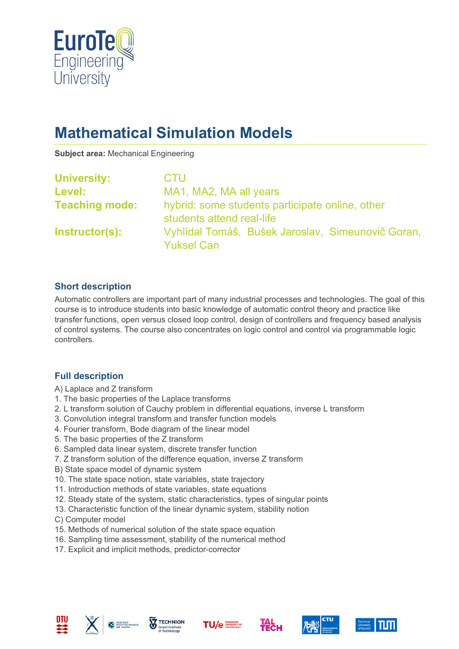

# **Mathematical Simulation Models**

**Subject area:** Mechanical Engineering

| <b>University:</b>    | <b>CTU</b>                                                                   |
|-----------------------|------------------------------------------------------------------------------|
| Level:                | MA1, MA2, MA all years                                                       |
| <b>Teaching mode:</b> | hybrid: some students participate online, other<br>students attend real-life |
| Instructor(s):        | Vyhlídal Tomáš, Bušek Jaroslav, Simeunovič Goran,<br><b>Yuksel Can</b>       |

### **Short description**

Automatic controllers are important part of many industrial processes and technologies. The goal of this course is to introduce students into basic knowledge of automatic control theory and practice like transfer functions, open versus closed loop control, design of controllers and frequency based analysis of control systems. The course also concentrates on logic control and control via programmable logic controllers.

#### **Full description**

- A) Laplace and Z transform
- 1. The basic properties of the Laplace transforms
- 2. L transform solution of Cauchy problem in differential equations, inverse L transform
- 3. Convolution integral transform and transfer function models
- 4. Fourier transform, Bode diagram of the linear model
- 5. The basic properties of the Z transform
- 6. Sampled data linear system, discrete transfer function
- 7. Z transform solution of the difference equation, inverse Z transform
- B) State space model of dynamic system
- 10. The state space notion, state variables, state trajectory
- 11. Introduction methods of state variables, state equations
- 12. Steady state of the system, static characteristics, types of singular points
- 13. Characteristic function of the linear dynamic system, stability notion
- C) Computer model
- 15. Methods of numerical solution of the state space equation
- 16. Sampling time assessment, stability of the numerical method
- 17. Explicit and implicit methods, predictor-corrector











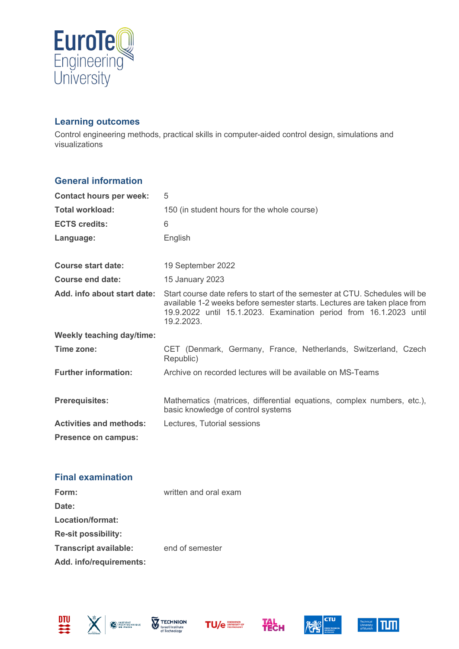

#### **Learning outcomes**

Control engineering methods, practical skills in computer-aided control design, simulations and visualizations

### **General information**

| <b>Contact hours per week:</b>   | 5                                                                                                                                                                                                                                            |
|----------------------------------|----------------------------------------------------------------------------------------------------------------------------------------------------------------------------------------------------------------------------------------------|
| <b>Total workload:</b>           | 150 (in student hours for the whole course)                                                                                                                                                                                                  |
| <b>ECTS credits:</b>             | 6                                                                                                                                                                                                                                            |
| Language:                        | English                                                                                                                                                                                                                                      |
|                                  |                                                                                                                                                                                                                                              |
| Course start date:               | 19 September 2022                                                                                                                                                                                                                            |
| Course end date:                 | 15 January 2023                                                                                                                                                                                                                              |
| Add. info about start date:      | Start course date refers to start of the semester at CTU. Schedules will be<br>available 1-2 weeks before semester starts. Lectures are taken place from<br>19.9.2022 until 15.1.2023. Examination period from 16.1.2023 until<br>19.2.2023. |
| <b>Weekly teaching day/time:</b> |                                                                                                                                                                                                                                              |
| Time zone:                       | CET (Denmark, Germany, France, Netherlands, Switzerland, Czech<br>Republic)                                                                                                                                                                  |
| <b>Further information:</b>      | Archive on recorded lectures will be available on MS-Teams                                                                                                                                                                                   |
| <b>Prerequisites:</b>            | Mathematics (matrices, differential equations, complex numbers, etc.),<br>basic knowledge of control systems                                                                                                                                 |
| <b>Activities and methods:</b>   | Lectures, Tutorial sessions                                                                                                                                                                                                                  |
| Presence on campus:              |                                                                                                                                                                                                                                              |

## **Final examination**

| Form:                        | written and oral exam |
|------------------------------|-----------------------|
| Date:                        |                       |
| Location/format:             |                       |
| <b>Re-sit possibility:</b>   |                       |
| <b>Transcript available:</b> | end of semester       |
| Add. info/requirements:      |                       |